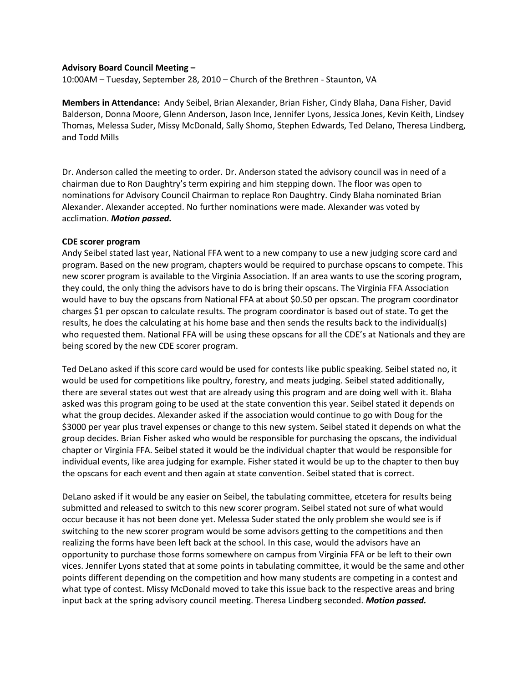## **Advisory Board Council Meeting –**

10:00AM – Tuesday, September 28, 2010 – Church of the Brethren - Staunton, VA

**Members in Attendance:** Andy Seibel, Brian Alexander, Brian Fisher, Cindy Blaha, Dana Fisher, David Balderson, Donna Moore, Glenn Anderson, Jason Ince, Jennifer Lyons, Jessica Jones, Kevin Keith, Lindsey Thomas, Melessa Suder, Missy McDonald, Sally Shomo, Stephen Edwards, Ted Delano, Theresa Lindberg, and Todd Mills

Dr. Anderson called the meeting to order. Dr. Anderson stated the advisory council was in need of a chairman due to Ron Daughtry's term expiring and him stepping down. The floor was open to nominations for Advisory Council Chairman to replace Ron Daughtry. Cindy Blaha nominated Brian Alexander. Alexander accepted. No further nominations were made. Alexander was voted by acclimation. *Motion passed.*

### **CDE scorer program**

Andy Seibel stated last year, National FFA went to a new company to use a new judging score card and program. Based on the new program, chapters would be required to purchase opscans to compete. This new scorer program is available to the Virginia Association. If an area wants to use the scoring program, they could, the only thing the advisors have to do is bring their opscans. The Virginia FFA Association would have to buy the opscans from National FFA at about \$0.50 per opscan. The program coordinator charges \$1 per opscan to calculate results. The program coordinator is based out of state. To get the results, he does the calculating at his home base and then sends the results back to the individual(s) who requested them. National FFA will be using these opscans for all the CDE's at Nationals and they are being scored by the new CDE scorer program.

Ted DeLano asked if this score card would be used for contests like public speaking. Seibel stated no, it would be used for competitions like poultry, forestry, and meats judging. Seibel stated additionally, there are several states out west that are already using this program and are doing well with it. Blaha asked was this program going to be used at the state convention this year. Seibel stated it depends on what the group decides. Alexander asked if the association would continue to go with Doug for the \$3000 per year plus travel expenses or change to this new system. Seibel stated it depends on what the group decides. Brian Fisher asked who would be responsible for purchasing the opscans, the individual chapter or Virginia FFA. Seibel stated it would be the individual chapter that would be responsible for individual events, like area judging for example. Fisher stated it would be up to the chapter to then buy the opscans for each event and then again at state convention. Seibel stated that is correct.

DeLano asked if it would be any easier on Seibel, the tabulating committee, etcetera for results being submitted and released to switch to this new scorer program. Seibel stated not sure of what would occur because it has not been done yet. Melessa Suder stated the only problem she would see is if switching to the new scorer program would be some advisors getting to the competitions and then realizing the forms have been left back at the school. In this case, would the advisors have an opportunity to purchase those forms somewhere on campus from Virginia FFA or be left to their own vices. Jennifer Lyons stated that at some points in tabulating committee, it would be the same and other points different depending on the competition and how many students are competing in a contest and what type of contest. Missy McDonald moved to take this issue back to the respective areas and bring input back at the spring advisory council meeting. Theresa Lindberg seconded. *Motion passed.*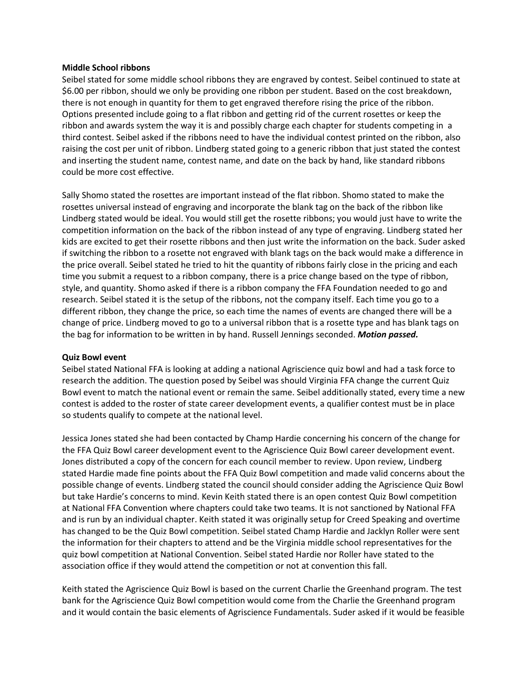## **Middle School ribbons**

Seibel stated for some middle school ribbons they are engraved by contest. Seibel continued to state at \$6.00 per ribbon, should we only be providing one ribbon per student. Based on the cost breakdown, there is not enough in quantity for them to get engraved therefore rising the price of the ribbon. Options presented include going to a flat ribbon and getting rid of the current rosettes or keep the ribbon and awards system the way it is and possibly charge each chapter for students competing in a third contest. Seibel asked if the ribbons need to have the individual contest printed on the ribbon, also raising the cost per unit of ribbon. Lindberg stated going to a generic ribbon that just stated the contest and inserting the student name, contest name, and date on the back by hand, like standard ribbons could be more cost effective.

Sally Shomo stated the rosettes are important instead of the flat ribbon. Shomo stated to make the rosettes universal instead of engraving and incorporate the blank tag on the back of the ribbon like Lindberg stated would be ideal. You would still get the rosette ribbons; you would just have to write the competition information on the back of the ribbon instead of any type of engraving. Lindberg stated her kids are excited to get their rosette ribbons and then just write the information on the back. Suder asked if switching the ribbon to a rosette not engraved with blank tags on the back would make a difference in the price overall. Seibel stated he tried to hit the quantity of ribbons fairly close in the pricing and each time you submit a request to a ribbon company, there is a price change based on the type of ribbon, style, and quantity. Shomo asked if there is a ribbon company the FFA Foundation needed to go and research. Seibel stated it is the setup of the ribbons, not the company itself. Each time you go to a different ribbon, they change the price, so each time the names of events are changed there will be a change of price. Lindberg moved to go to a universal ribbon that is a rosette type and has blank tags on the bag for information to be written in by hand. Russell Jennings seconded. *Motion passed.*

## **Quiz Bowl event**

Seibel stated National FFA is looking at adding a national Agriscience quiz bowl and had a task force to research the addition. The question posed by Seibel was should Virginia FFA change the current Quiz Bowl event to match the national event or remain the same. Seibel additionally stated, every time a new contest is added to the roster of state career development events, a qualifier contest must be in place so students qualify to compete at the national level.

Jessica Jones stated she had been contacted by Champ Hardie concerning his concern of the change for the FFA Quiz Bowl career development event to the Agriscience Quiz Bowl career development event. Jones distributed a copy of the concern for each council member to review. Upon review, Lindberg stated Hardie made fine points about the FFA Quiz Bowl competition and made valid concerns about the possible change of events. Lindberg stated the council should consider adding the Agriscience Quiz Bowl but take Hardie's concerns to mind. Kevin Keith stated there is an open contest Quiz Bowl competition at National FFA Convention where chapters could take two teams. It is not sanctioned by National FFA and is run by an individual chapter. Keith stated it was originally setup for Creed Speaking and overtime has changed to be the Quiz Bowl competition. Seibel stated Champ Hardie and Jacklyn Roller were sent the information for their chapters to attend and be the Virginia middle school representatives for the quiz bowl competition at National Convention. Seibel stated Hardie nor Roller have stated to the association office if they would attend the competition or not at convention this fall.

Keith stated the Agriscience Quiz Bowl is based on the current Charlie the Greenhand program. The test bank for the Agriscience Quiz Bowl competition would come from the Charlie the Greenhand program and it would contain the basic elements of Agriscience Fundamentals. Suder asked if it would be feasible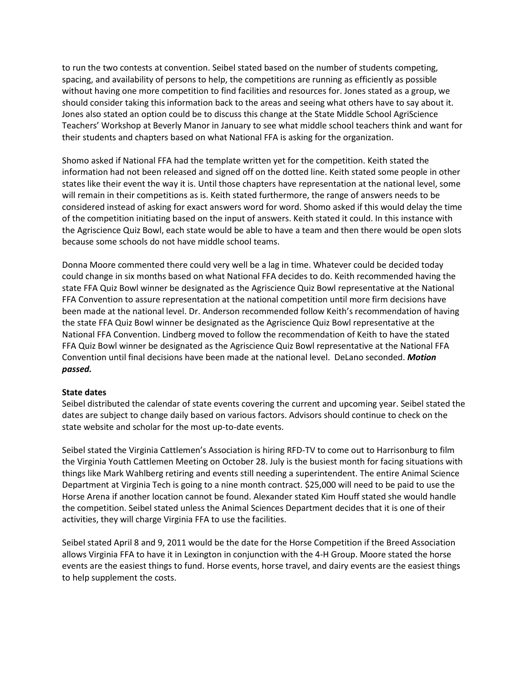to run the two contests at convention. Seibel stated based on the number of students competing, spacing, and availability of persons to help, the competitions are running as efficiently as possible without having one more competition to find facilities and resources for. Jones stated as a group, we should consider taking this information back to the areas and seeing what others have to say about it. Jones also stated an option could be to discuss this change at the State Middle School AgriScience Teachers' Workshop at Beverly Manor in January to see what middle school teachers think and want for their students and chapters based on what National FFA is asking for the organization.

Shomo asked if National FFA had the template written yet for the competition. Keith stated the information had not been released and signed off on the dotted line. Keith stated some people in other states like their event the way it is. Until those chapters have representation at the national level, some will remain in their competitions as is. Keith stated furthermore, the range of answers needs to be considered instead of asking for exact answers word for word. Shomo asked if this would delay the time of the competition initiating based on the input of answers. Keith stated it could. In this instance with the Agriscience Quiz Bowl, each state would be able to have a team and then there would be open slots because some schools do not have middle school teams.

Donna Moore commented there could very well be a lag in time. Whatever could be decided today could change in six months based on what National FFA decides to do. Keith recommended having the state FFA Quiz Bowl winner be designated as the Agriscience Quiz Bowl representative at the National FFA Convention to assure representation at the national competition until more firm decisions have been made at the national level. Dr. Anderson recommended follow Keith's recommendation of having the state FFA Quiz Bowl winner be designated as the Agriscience Quiz Bowl representative at the National FFA Convention. Lindberg moved to follow the recommendation of Keith to have the stated FFA Quiz Bowl winner be designated as the Agriscience Quiz Bowl representative at the National FFA Convention until final decisions have been made at the national level. DeLano seconded. *Motion passed.*

## **State dates**

Seibel distributed the calendar of state events covering the current and upcoming year. Seibel stated the dates are subject to change daily based on various factors. Advisors should continue to check on the state website and scholar for the most up-to-date events.

Seibel stated the Virginia Cattlemen's Association is hiring RFD-TV to come out to Harrisonburg to film the Virginia Youth Cattlemen Meeting on October 28. July is the busiest month for facing situations with things like Mark Wahlberg retiring and events still needing a superintendent. The entire Animal Science Department at Virginia Tech is going to a nine month contract. \$25,000 will need to be paid to use the Horse Arena if another location cannot be found. Alexander stated Kim Houff stated she would handle the competition. Seibel stated unless the Animal Sciences Department decides that it is one of their activities, they will charge Virginia FFA to use the facilities.

Seibel stated April 8 and 9, 2011 would be the date for the Horse Competition if the Breed Association allows Virginia FFA to have it in Lexington in conjunction with the 4-H Group. Moore stated the horse events are the easiest things to fund. Horse events, horse travel, and dairy events are the easiest things to help supplement the costs.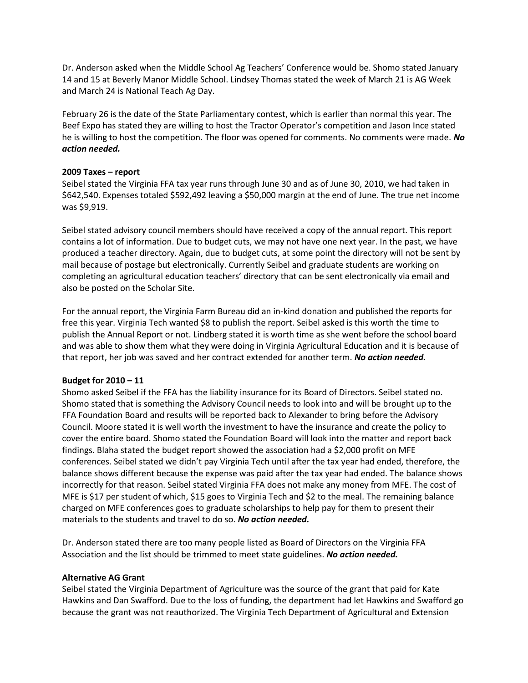Dr. Anderson asked when the Middle School Ag Teachers' Conference would be. Shomo stated January 14 and 15 at Beverly Manor Middle School. Lindsey Thomas stated the week of March 21 is AG Week and March 24 is National Teach Ag Day.

February 26 is the date of the State Parliamentary contest, which is earlier than normal this year. The Beef Expo has stated they are willing to host the Tractor Operator's competition and Jason Ince stated he is willing to host the competition. The floor was opened for comments. No comments were made. *No action needed.*

## **2009 Taxes – report**

Seibel stated the Virginia FFA tax year runs through June 30 and as of June 30, 2010, we had taken in \$642,540. Expenses totaled \$592,492 leaving a \$50,000 margin at the end of June. The true net income was \$9,919.

Seibel stated advisory council members should have received a copy of the annual report. This report contains a lot of information. Due to budget cuts, we may not have one next year. In the past, we have produced a teacher directory. Again, due to budget cuts, at some point the directory will not be sent by mail because of postage but electronically. Currently Seibel and graduate students are working on completing an agricultural education teachers' directory that can be sent electronically via email and also be posted on the Scholar Site.

For the annual report, the Virginia Farm Bureau did an in-kind donation and published the reports for free this year. Virginia Tech wanted \$8 to publish the report. Seibel asked is this worth the time to publish the Annual Report or not. Lindberg stated it is worth time as she went before the school board and was able to show them what they were doing in Virginia Agricultural Education and it is because of that report, her job was saved and her contract extended for another term. *No action needed.*

# **Budget for 2010 – 11**

Shomo asked Seibel if the FFA has the liability insurance for its Board of Directors. Seibel stated no. Shomo stated that is something the Advisory Council needs to look into and will be brought up to the FFA Foundation Board and results will be reported back to Alexander to bring before the Advisory Council. Moore stated it is well worth the investment to have the insurance and create the policy to cover the entire board. Shomo stated the Foundation Board will look into the matter and report back findings. Blaha stated the budget report showed the association had a \$2,000 profit on MFE conferences. Seibel stated we didn't pay Virginia Tech until after the tax year had ended, therefore, the balance shows different because the expense was paid after the tax year had ended. The balance shows incorrectly for that reason. Seibel stated Virginia FFA does not make any money from MFE. The cost of MFE is \$17 per student of which, \$15 goes to Virginia Tech and \$2 to the meal. The remaining balance charged on MFE conferences goes to graduate scholarships to help pay for them to present their materials to the students and travel to do so. *No action needed.*

Dr. Anderson stated there are too many people listed as Board of Directors on the Virginia FFA Association and the list should be trimmed to meet state guidelines. *No action needed.* 

## **Alternative AG Grant**

Seibel stated the Virginia Department of Agriculture was the source of the grant that paid for Kate Hawkins and Dan Swafford. Due to the loss of funding, the department had let Hawkins and Swafford go because the grant was not reauthorized. The Virginia Tech Department of Agricultural and Extension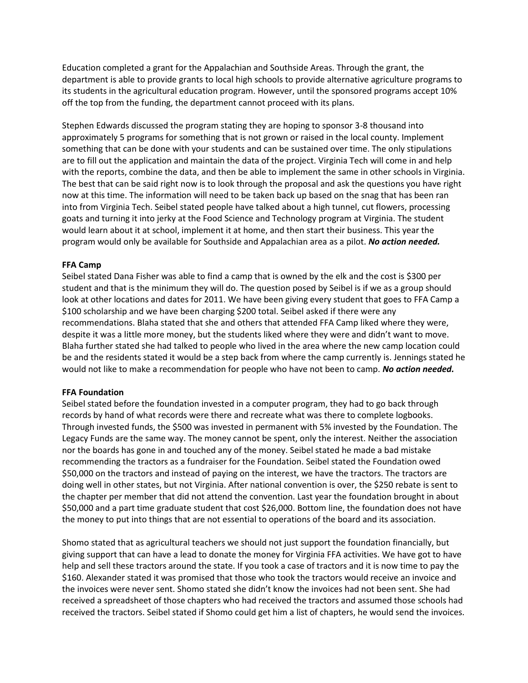Education completed a grant for the Appalachian and Southside Areas. Through the grant, the department is able to provide grants to local high schools to provide alternative agriculture programs to its students in the agricultural education program. However, until the sponsored programs accept 10% off the top from the funding, the department cannot proceed with its plans.

Stephen Edwards discussed the program stating they are hoping to sponsor 3-8 thousand into approximately 5 programs for something that is not grown or raised in the local county. Implement something that can be done with your students and can be sustained over time. The only stipulations are to fill out the application and maintain the data of the project. Virginia Tech will come in and help with the reports, combine the data, and then be able to implement the same in other schools in Virginia. The best that can be said right now is to look through the proposal and ask the questions you have right now at this time. The information will need to be taken back up based on the snag that has been ran into from Virginia Tech. Seibel stated people have talked about a high tunnel, cut flowers, processing goats and turning it into jerky at the Food Science and Technology program at Virginia. The student would learn about it at school, implement it at home, and then start their business. This year the program would only be available for Southside and Appalachian area as a pilot. *No action needed.*

## **FFA Camp**

Seibel stated Dana Fisher was able to find a camp that is owned by the elk and the cost is \$300 per student and that is the minimum they will do. The question posed by Seibel is if we as a group should look at other locations and dates for 2011. We have been giving every student that goes to FFA Camp a \$100 scholarship and we have been charging \$200 total. Seibel asked if there were any recommendations. Blaha stated that she and others that attended FFA Camp liked where they were, despite it was a little more money, but the students liked where they were and didn't want to move. Blaha further stated she had talked to people who lived in the area where the new camp location could be and the residents stated it would be a step back from where the camp currently is. Jennings stated he would not like to make a recommendation for people who have not been to camp. *No action needed.*

## **FFA Foundation**

Seibel stated before the foundation invested in a computer program, they had to go back through records by hand of what records were there and recreate what was there to complete logbooks. Through invested funds, the \$500 was invested in permanent with 5% invested by the Foundation. The Legacy Funds are the same way. The money cannot be spent, only the interest. Neither the association nor the boards has gone in and touched any of the money. Seibel stated he made a bad mistake recommending the tractors as a fundraiser for the Foundation. Seibel stated the Foundation owed \$50,000 on the tractors and instead of paying on the interest, we have the tractors. The tractors are doing well in other states, but not Virginia. After national convention is over, the \$250 rebate is sent to the chapter per member that did not attend the convention. Last year the foundation brought in about \$50,000 and a part time graduate student that cost \$26,000. Bottom line, the foundation does not have the money to put into things that are not essential to operations of the board and its association.

Shomo stated that as agricultural teachers we should not just support the foundation financially, but giving support that can have a lead to donate the money for Virginia FFA activities. We have got to have help and sell these tractors around the state. If you took a case of tractors and it is now time to pay the \$160. Alexander stated it was promised that those who took the tractors would receive an invoice and the invoices were never sent. Shomo stated she didn't know the invoices had not been sent. She had received a spreadsheet of those chapters who had received the tractors and assumed those schools had received the tractors. Seibel stated if Shomo could get him a list of chapters, he would send the invoices.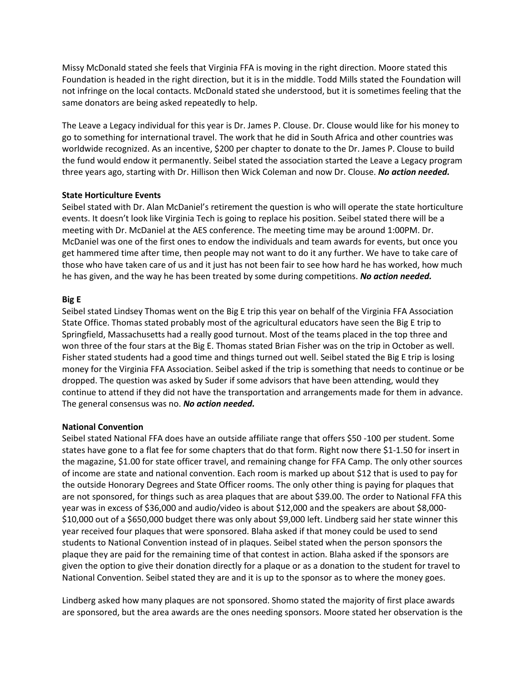Missy McDonald stated she feels that Virginia FFA is moving in the right direction. Moore stated this Foundation is headed in the right direction, but it is in the middle. Todd Mills stated the Foundation will not infringe on the local contacts. McDonald stated she understood, but it is sometimes feeling that the same donators are being asked repeatedly to help.

The Leave a Legacy individual for this year is Dr. James P. Clouse. Dr. Clouse would like for his money to go to something for international travel. The work that he did in South Africa and other countries was worldwide recognized. As an incentive, \$200 per chapter to donate to the Dr. James P. Clouse to build the fund would endow it permanently. Seibel stated the association started the Leave a Legacy program three years ago, starting with Dr. Hillison then Wick Coleman and now Dr. Clouse. *No action needed.*

## **State Horticulture Events**

Seibel stated with Dr. Alan McDaniel's retirement the question is who will operate the state horticulture events. It doesn't look like Virginia Tech is going to replace his position. Seibel stated there will be a meeting with Dr. McDaniel at the AES conference. The meeting time may be around 1:00PM. Dr. McDaniel was one of the first ones to endow the individuals and team awards for events, but once you get hammered time after time, then people may not want to do it any further. We have to take care of those who have taken care of us and it just has not been fair to see how hard he has worked, how much he has given, and the way he has been treated by some during competitions. *No action needed.*

## **Big E**

Seibel stated Lindsey Thomas went on the Big E trip this year on behalf of the Virginia FFA Association State Office. Thomas stated probably most of the agricultural educators have seen the Big E trip to Springfield, Massachusetts had a really good turnout. Most of the teams placed in the top three and won three of the four stars at the Big E. Thomas stated Brian Fisher was on the trip in October as well. Fisher stated students had a good time and things turned out well. Seibel stated the Big E trip is losing money for the Virginia FFA Association. Seibel asked if the trip is something that needs to continue or be dropped. The question was asked by Suder if some advisors that have been attending, would they continue to attend if they did not have the transportation and arrangements made for them in advance. The general consensus was no. *No action needed.*

# **National Convention**

Seibel stated National FFA does have an outside affiliate range that offers \$50 -100 per student. Some states have gone to a flat fee for some chapters that do that form. Right now there \$1-1.50 for insert in the magazine, \$1.00 for state officer travel, and remaining change for FFA Camp. The only other sources of income are state and national convention. Each room is marked up about \$12 that is used to pay for the outside Honorary Degrees and State Officer rooms. The only other thing is paying for plaques that are not sponsored, for things such as area plaques that are about \$39.00. The order to National FFA this year was in excess of \$36,000 and audio/video is about \$12,000 and the speakers are about \$8,000- \$10,000 out of a \$650,000 budget there was only about \$9,000 left. Lindberg said her state winner this year received four plaques that were sponsored. Blaha asked if that money could be used to send students to National Convention instead of in plaques. Seibel stated when the person sponsors the plaque they are paid for the remaining time of that contest in action. Blaha asked if the sponsors are given the option to give their donation directly for a plaque or as a donation to the student for travel to National Convention. Seibel stated they are and it is up to the sponsor as to where the money goes.

Lindberg asked how many plaques are not sponsored. Shomo stated the majority of first place awards are sponsored, but the area awards are the ones needing sponsors. Moore stated her observation is the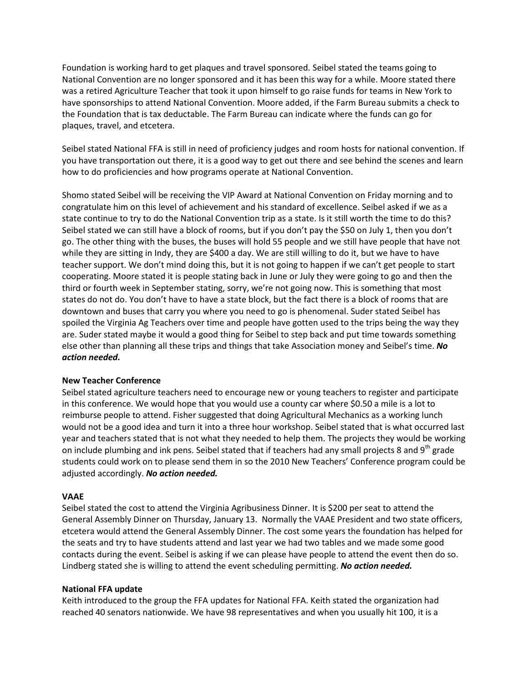Foundation is working hard to get plaques and travel sponsored. Seibel stated the teams going to National Convention are no longer sponsored and it has been this way for a while. Moore stated there was a retired Agriculture Teacher that took it upon himself to go raise funds for teams in New York to have sponsorships to attend National Convention. Moore added, if the Farm Bureau submits a check to the Foundation that is tax deductable. The Farm Bureau can indicate where the funds can go for plaques, travel, and etcetera.

Seibel stated National FFA is still in need of proficiency judges and room hosts for national convention. If you have transportation out there, it is a good way to get out there and see behind the scenes and learn how to do proficiencies and how programs operate at National Convention.

Shomo stated Seibel will be receiving the VIP Award at National Convention on Friday morning and to congratulate him on this level of achievement and his standard of excellence. Seibel asked if we as a state continue to try to do the National Convention trip as a state. Is it still worth the time to do this? Seibel stated we can still have a block of rooms, but if you don't pay the \$50 on July 1, then you don't go. The other thing with the buses, the buses will hold 55 people and we still have people that have not while they are sitting in Indy, they are \$400 a day. We are still willing to do it, but we have to have teacher support. We don't mind doing this, but it is not going to happen if we can't get people to start cooperating. Moore stated it is people stating back in June or July they were going to go and then the third or fourth week in September stating, sorry, we're not going now. This is something that most states do not do. You don't have to have a state block, but the fact there is a block of rooms that are downtown and buses that carry you where you need to go is phenomenal. Suder stated Seibel has spoiled the Virginia Ag Teachers over time and people have gotten used to the trips being the way they are. Suder stated maybe it would a good thing for Seibel to step back and put time towards something else other than planning all these trips and things that take Association money and Seibel's time. *No action needed.* 

# **New Teacher Conference**

Seibel stated agriculture teachers need to encourage new or young teachers to register and participate in this conference. We would hope that you would use a county car where \$0.50 a mile is a lot to reimburse people to attend. Fisher suggested that doing Agricultural Mechanics as a working lunch would not be a good idea and turn it into a three hour workshop. Seibel stated that is what occurred last year and teachers stated that is not what they needed to help them. The projects they would be working on include plumbing and ink pens. Seibel stated that if teachers had any small projects 8 and  $9<sup>th</sup>$  grade students could work on to please send them in so the 2010 New Teachers' Conference program could be adjusted accordingly. *No action needed.*

# **VAAE**

Seibel stated the cost to attend the Virginia Agribusiness Dinner. It is \$200 per seat to attend the General Assembly Dinner on Thursday, January 13. Normally the VAAE President and two state officers, etcetera would attend the General Assembly Dinner. The cost some years the foundation has helped for the seats and try to have students attend and last year we had two tables and we made some good contacts during the event. Seibel is asking if we can please have people to attend the event then do so. Lindberg stated she is willing to attend the event scheduling permitting. *No action needed.*

## **National FFA update**

Keith introduced to the group the FFA updates for National FFA. Keith stated the organization had reached 40 senators nationwide. We have 98 representatives and when you usually hit 100, it is a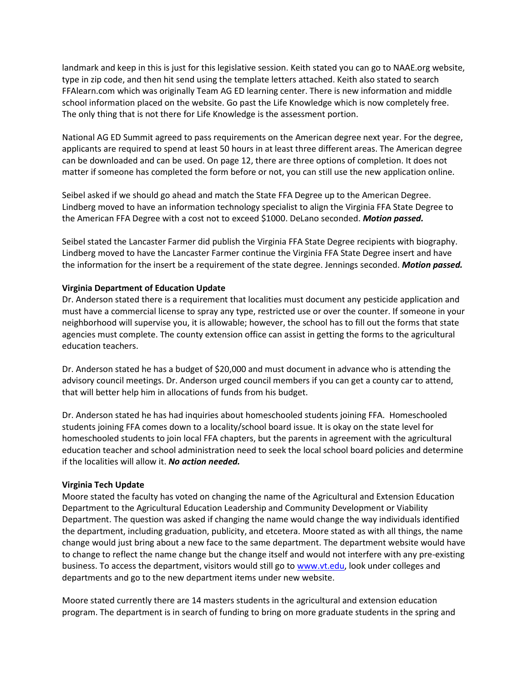landmark and keep in this is just for this legislative session. Keith stated you can go to NAAE.org website, type in zip code, and then hit send using the template letters attached. Keith also stated to search FFAlearn.com which was originally Team AG ED learning center. There is new information and middle school information placed on the website. Go past the Life Knowledge which is now completely free. The only thing that is not there for Life Knowledge is the assessment portion.

National AG ED Summit agreed to pass requirements on the American degree next year. For the degree, applicants are required to spend at least 50 hours in at least three different areas. The American degree can be downloaded and can be used. On page 12, there are three options of completion. It does not matter if someone has completed the form before or not, you can still use the new application online.

Seibel asked if we should go ahead and match the State FFA Degree up to the American Degree. Lindberg moved to have an information technology specialist to align the Virginia FFA State Degree to the American FFA Degree with a cost not to exceed \$1000. DeLano seconded. *Motion passed.*

Seibel stated the Lancaster Farmer did publish the Virginia FFA State Degree recipients with biography. Lindberg moved to have the Lancaster Farmer continue the Virginia FFA State Degree insert and have the information for the insert be a requirement of the state degree. Jennings seconded. *Motion passed.*

# **Virginia Department of Education Update**

Dr. Anderson stated there is a requirement that localities must document any pesticide application and must have a commercial license to spray any type, restricted use or over the counter. If someone in your neighborhood will supervise you, it is allowable; however, the school has to fill out the forms that state agencies must complete. The county extension office can assist in getting the forms to the agricultural education teachers.

Dr. Anderson stated he has a budget of \$20,000 and must document in advance who is attending the advisory council meetings. Dr. Anderson urged council members if you can get a county car to attend, that will better help him in allocations of funds from his budget.

Dr. Anderson stated he has had inquiries about homeschooled students joining FFA. Homeschooled students joining FFA comes down to a locality/school board issue. It is okay on the state level for homeschooled students to join local FFA chapters, but the parents in agreement with the agricultural education teacher and school administration need to seek the local school board policies and determine if the localities will allow it. *No action needed.*

# **Virginia Tech Update**

Moore stated the faculty has voted on changing the name of the Agricultural and Extension Education Department to the Agricultural Education Leadership and Community Development or Viability Department. The question was asked if changing the name would change the way individuals identified the department, including graduation, publicity, and etcetera. Moore stated as with all things, the name change would just bring about a new face to the same department. The department website would have to change to reflect the name change but the change itself and would not interfere with any pre-existing business. To access the department, visitors would still go t[o www.vt.edu,](http://www.vt.edu/) look under colleges and departments and go to the new department items under new website.

Moore stated currently there are 14 masters students in the agricultural and extension education program. The department is in search of funding to bring on more graduate students in the spring and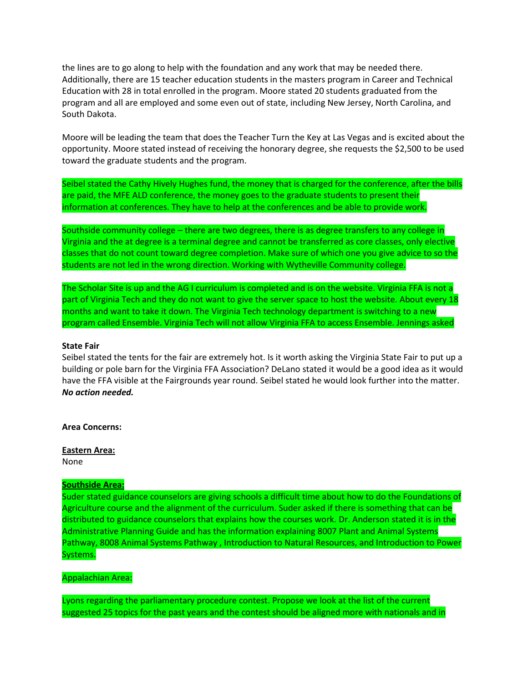the lines are to go along to help with the foundation and any work that may be needed there. Additionally, there are 15 teacher education students in the masters program in Career and Technical Education with 28 in total enrolled in the program. Moore stated 20 students graduated from the program and all are employed and some even out of state, including New Jersey, North Carolina, and South Dakota.

Moore will be leading the team that does the Teacher Turn the Key at Las Vegas and is excited about the opportunity. Moore stated instead of receiving the honorary degree, she requests the \$2,500 to be used toward the graduate students and the program.

Seibel stated the Cathy Hively Hughes fund, the money that is charged for the conference, after the bills are paid, the MFE ALD conference, the money goes to the graduate students to present their information at conferences. They have to help at the conferences and be able to provide work.

Southside community college – there are two degrees, there is as degree transfers to any college in Virginia and the at degree is a terminal degree and cannot be transferred as core classes, only elective classes that do not count toward degree completion. Make sure of which one you give advice to so the students are not led in the wrong direction. Working with Wytheville Community college.

The Scholar Site is up and the AG I curriculum is completed and is on the website. Virginia FFA is not a part of Virginia Tech and they do not want to give the server space to host the website. About every 18 months and want to take it down. The Virginia Tech technology department is switching to a new program called Ensemble. Virginia Tech will not allow Virginia FFA to access Ensemble. Jennings asked

### **State Fair**

Seibel stated the tents for the fair are extremely hot. Is it worth asking the Virginia State Fair to put up a building or pole barn for the Virginia FFA Association? DeLano stated it would be a good idea as it would have the FFA visible at the Fairgrounds year round. Seibel stated he would look further into the matter. *No action needed.*

**Area Concerns:**

**Eastern Area:** None

### **Southside Area:**

Suder stated guidance counselors are giving schools a difficult time about how to do the Foundations of Agriculture course and the alignment of the curriculum. Suder asked if there is something that can be distributed to guidance counselors that explains how the courses work. Dr. Anderson stated it is in the Administrative Planning Guide and has the information explaining 8007 Plant and Animal Systems Pathway, 8008 Animal Systems Pathway , Introduction to Natural Resources, and Introduction to Power Systems.

#### Appalachian Area:

Lyons regarding the parliamentary procedure contest. Propose we look at the list of the current suggested 25 topics for the past years and the contest should be aligned more with nationals and in